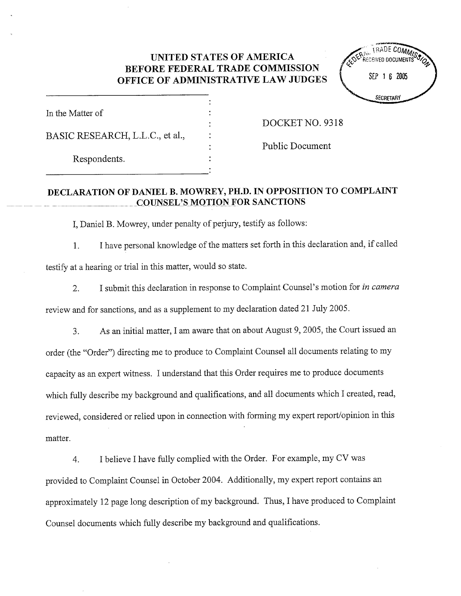## UNITED STATES OF AMERICA BEFORE FEDERAL TRADE COMMISSION OFFICE OF ADMINISTRATIVE LAW JUDGES  $\begin{bmatrix} 5E & 1 & 6 & 2005 \\ 0 & 5E & 1 & 6 & 2005 \\ 0 & 0 & 0 & 0 & 0 \end{bmatrix}$



| In the Matter of                |
|---------------------------------|
| BASIC RESEARCH, L.L.C., et al., |
| Respondents.                    |

DOCKET NO. 9318

Public Document

## DECLARTION OF DANIEL B. MOWREY, PH.D. IN OPPOSITION TO COMPLAINT COUNSEL'S MOTION FOR SANCTIONS

I, Daniel B. Mowrey, under penalty of perjury, testify as follows:

I have personal knowledge of the matters set forth in this declaration and, if called  $1.$ testify at a hearing or trial in this matter, would so state.

I submit this declaration in response to Complaint Counsel's motion for *in camera*  $2.$ review and for sanctions, and as a supplement to my declaration dated 21 July 2005.

As an initial matter, I am aware that on about August 9, 2005, the Court issued an 3. order (the "Order") directing me to produce to Complaint Counsel all documents relating to my capacity as an expert witness. I understand that this Order requires me to produce documents which fully describe my background and qualifications, and all documents which I created, read reviewed, considered or relied upon in connection with fonning my expert report/opinion in this matter.

I believe I have fully complied with the Order. For example, my CV was  $\overline{4}$ . provided to Complaint Counsel in October 2004. Additionally, my expert report contains an approximately 12 page long description of my background. Thus, I have produced to Complaint Counsel documents which fully describe my background and qualifications.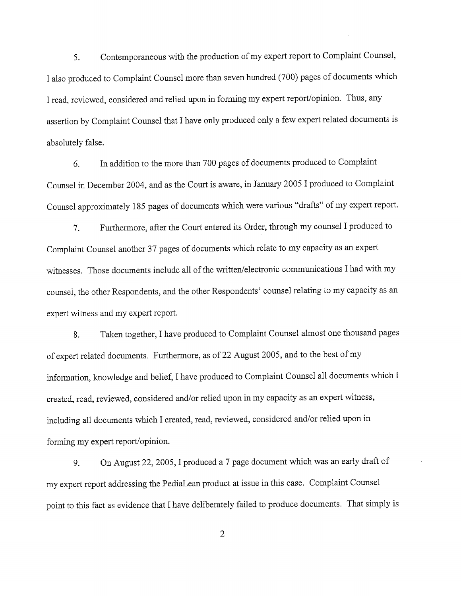Contemporaneous with the production of my expert report to Complaint Counsel 5. I also produced to Complaint Counsel more than seven hundred (700) pages of documents which I read, reviewed, considered and relied upon in forming my expert report/opinion. Thus, any assertion by Complaint Counsel that I have only produced only a few expert related documents is absolutely false.

In addition to the more than 700 pages of documents produced to Complaint 6. Counsel in December 2004, and as the Court is aware, in January 2005 I produced to Complaint Counsel approximately 185 pages of documents which were various "drafts" of my expert report.

Furhermore, after the Court entered its Order, through my counsel I produced to 7. Complaint Counsel another 37 pages of documents which relate to my capacity as an expert witnesses. Those documents include all of the written/electronic communcations I had with my counsel, the other Respondents, and the other Respondents' counsel relating to my capacity as an expert witness and my expert report.

Taken together, I have produced to Complaint Counsel almost one thousand pages 8. of expert related documents. Furthermore, as of 22 August 2005, and to the best of my information, knowledge and belief, I have produced to Complaint Counsel all documents which I created, read, reviewed, considered and/or relied upon in my capacity as an expert witness including all documents which I created, read, reviewed, considered and/or relied upon in forming my expert report/opinion.

On August 22, 2005, I produced a 7 page document which was an early draft of 9. my expert report addressing the PediaLean product at issue in this case. Complaint Counsel point to this fact as evidence that I have deliberately failed to produce documents. That simply is

 $\overline{2}$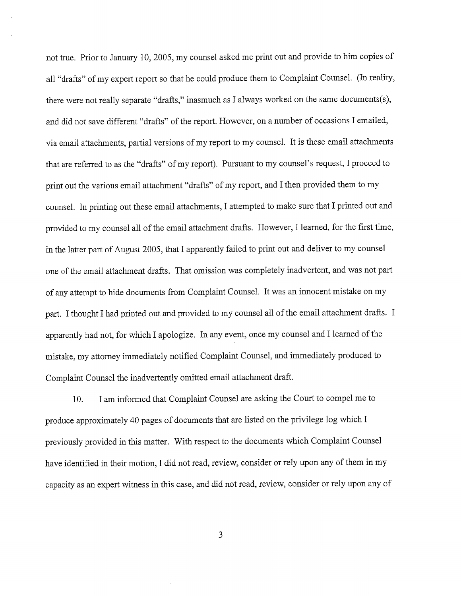not true. Prior to January 10 2005, my counsel asked me print out and provide to him copies of all "drafts" of my expert report so that he could produce them to Complaint Counsel. (In reality, there were not really separate "drafts," inasmuch as I always worked on the same documents(s), and did not save different "drafts" of the report. However, on a number of occasions I emailed, via em ail attachments, partial versions of my report to my counsel. It is these email attachments that are referred to as the "drafts" of my report). Pursuant to my counsel's request, I proceed to print out the various email attachment "drafts" of my report, and I then provided them to my counsel. In printing out these em ail attachments, I attempted to make sure that I printed out and provided to my counsel all of the email attachment drafts. However, I learned, for the first time in the latter part of August 2005, that I apparently failed to print out and deliver to my counsel one of the email attachment drafts. That omission was completely inadvertent, and was not part of any attempt to hide documents from Complaint Counsel. It was an innocent mistake on my part. I thought I had printed out and provided to my counsel all of the email attachment drafts. apparently had not, for which I apologize. In any event, once my counsel and I learned of the mistake, my attorney immediately notified Complaint Counsel, and immediately produced to Complaint Counsel the inadvertently omitted email attachment draft.

10. I am informed that Complaint Counsel are asking the Court to compel me to produce approximately 40 pages of documents that are listed on the privilege log which I previously provided in this matter. With respect to the documents which Complaint Counsel have identified in their motion, I did not read, review, consider or rely upon any of them in my capacity as an expert witness in this case, and did not read, review, consider or rely upon any of

 $\overline{3}$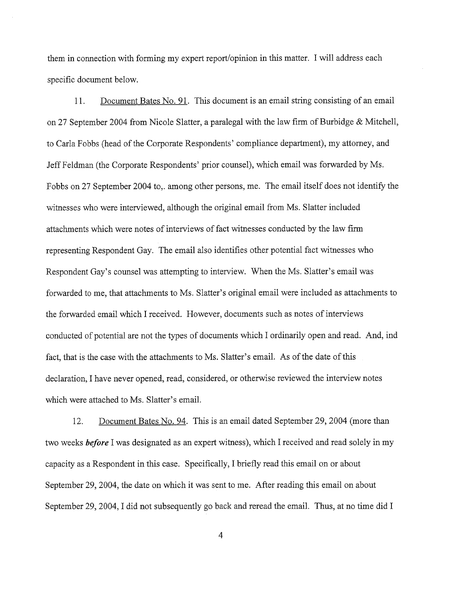them in connection with forming my expert report/opinion in this matter. I will address each specific document below.

11. Document Bates No. 91. This document is an email string consisting of an email on 27 September 2004 from Nicole Slatter, a paralegal with the law firm of Burbidge & Mitchell to Carla Fobbs (head of the Corporate Respondents' compliance department), my attorney, and Jeff Feldman (the Corporate Respondents' prior counsel), which email was forwarded by Ms. Fobbs on 27 September 2004 to,. among other persons, me. The email itself does not identify the witnesses who were interviewed, although the original email from Ms. Slatter included attachments which were notes of interviews of fact witnesses conducted by the law firm representing Respondent Gay. The email also identifies other potential fact witnesses who Respondent Gay's counsel was attempting to interview. When the Ms. Slatter's email was forwarded to me, that attachments to Ms. Slatter's original email were included as attachments to the forwarded email which I received. However, documents such as notes of interviews conducted of potential are not the tyes of documents which I ordinarily open and read. And, ind fact, that is the case with the attachments to Ms. Slatter's email. As of the date of this declaration, I have never opened, read, considered, or otherwise reviewed the interview notes which were attached to Ms. Slatter's email.

12. Document Bates No. 94. This is an email dated September 29, 2004 (more than two weeks *before* I was designated as an expert witness), which I received and read solely in my capacity as a Respondent in this case. Specifically, I briefly read this email on or about September 29, 2004, the date on which it was sent to me. After reading this email on about September 29, 2004, I did not subsequently go back and reread the email. Thus, at no time did I

 $\overline{4}$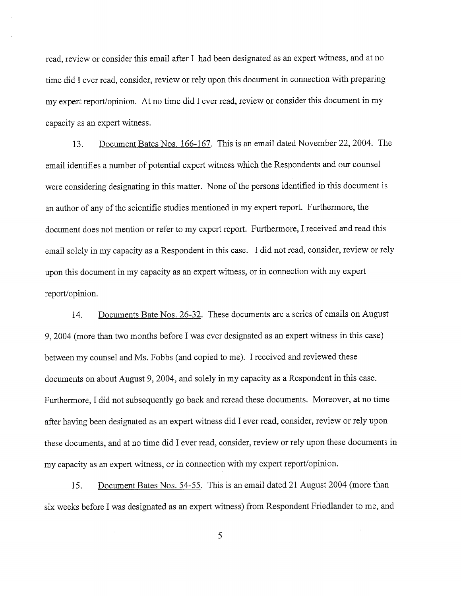read, review or consider this email after I had been designated as an expert witness, and at no time did I ever read, consider, review or rely upon this document in connection with preparing my expert report/opinion. At no time did I ever read, review or consider this document in my capacity as an expert witness.

13. Document Bates Nos. 166-167. This is an email dated November 22, 2004. The email identifies a number of potential expert witness which the Respondents and our counsel were considering designating in this matter. None of the persons identified in this document is an author of any of the scientific studies mentioned in my expert report. Furthermore, the document does not mention or refer to my expert report. Furthermore, I received and read this email solely in my capacity as a Respondent in this case. I did not read, consider, review or rely upon this document in my capacity as an expert witness, or in connection with my expert report/opinion.

14. Documents Bate Nos. 26-32. These documents are a series of emails on August 2004 (more than two months before I was ever designated as an expert witness in this case) between my counsel and Ms. Fobbs (and copied to me). I received and reviewed these documents on about August 9, 2004, and solely in my capacity as a Respondent in this case. Furhermore, I did not subsequently go back and reread these documents. Moreover, at no time after having been designated as an expert witness did I ever read, consider, review or rely upon these documents, and at no time did I ever read, consider, review or rely upon these documents in my capacity as an expert witness, or in connection with my expert report/opinion.

15. Document Bates Nos. 54-55. This is an email dated 21 August 2004 (more than six weeks before I was designated as an expert witness) from Respondent Friedlander to me, and

5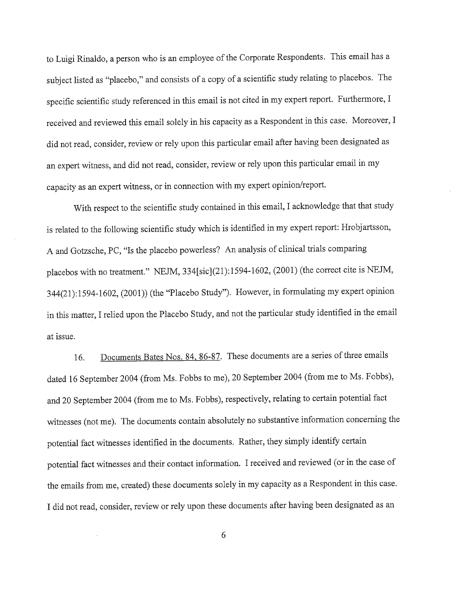to Luigi Rinaldo, a person who is an employee of the Corporate Respondents. This email has a subject listed as "placebo," and consists of a copy of a scientific study relating to placebos. The specific scientific study referenced in this email is not cited in my expert report. Furthermore, I received and reviewed this email solely in his capacity as a Respondent in this case. Moreover, I did not read, consider, review or rely upon this particular email after having been designated as an expert witness, and did not read, consider, review or rely upon this particular em ail in my capacity as an expert witness, or in connection with my expert opinion/report.

With respect to the scientific study contained in this email, I acknowledge that that study is related to the following scientific study which is identified in my expert report: Hrobjartsson A and Gotzsche, PC, "Is the placebo powerless? An analysis of clinical trials comparing placebos with no treatment." NEJM, 334[sic](21):1594-1602, (2001) (the correct cite is NEJM, 344(21):1594-1602, (2001)) (the "Placebo Study"). However, in formulating my expert opinion in this matter, I relied upon the Placebo Study, and not the particular study identified in the email at issue.

16. Documents Bates Nos. 84, 86-87. These documents are a series of three emails dated 16 September 2004 (from Ms. Fobbs to me), 20 September 2004 (from me to Ms. Fobbs), and 20 September 2004 (from me to Ms. Fobbs), respectively, relating to certain potential fact witnesses (not me). The documents contain absolutely no substantive information concerning the potential fact witnesses identified in the documents. Rather, they simply identify certain potential fact witnesses and their contact information. I received and reviewed (or in the case of the emails from me, created) these documents solely in my capacity as a Respondent in this case. I did not read, consider, review or rely upon these documents after having been designated as an

6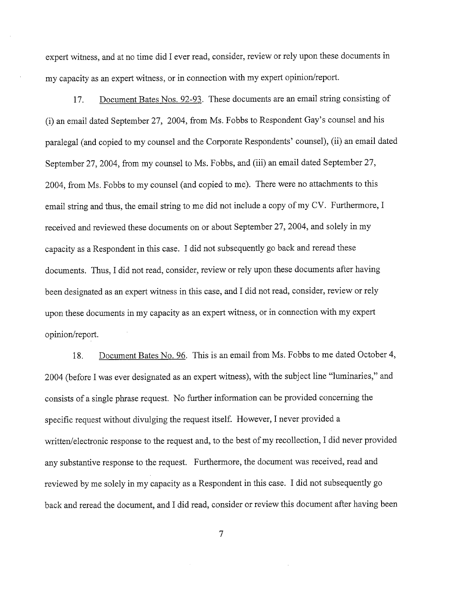expert witness, and at no time did I ever read, consider, review or rely upon these documents in my capacity as an expert witness, or in connection with my expert opinion/report.

17. Document Bates Nos. 92-93. These documents are an email string consisting of (i) an email dated September 27, 2004, from Ms. Fobbs to Respondent Gay s counsel and his paralegal (and copied to my counsel and the Corporate Respondents' counsel), (ii) an email dated September 27, 2004, from my counsel to Ms. Fobbs, and (iii) an email dated September 27, 2004, from Ms. Fobbs to my counsel (and copied to me). There were no attachments to this email string and thus, the email string to me did not include a copy of my CV. Furthermore, I received and reviewed these documents on or about September 27, 2004, and solely in my capacity as a Respondent in this case. I did not subsequently go back and reread these documents. Thus, I did not read, consider, review or rely upon these documents after having been designated as an expert witness in this case, and I did not read, consider, review or rely upon these documents in my capacity as an expert witness, or in connection with my expert opinion/report.

18. Document Bates No. 96. This is an email from Ms. Fobbs to me dated October 4, 2004 (before I was ever designated as an expert witness), with the subject line "luminaries," and consists of a single phrase request. No further information can be provided concerning the specific request without divulging the request itself. However, I never provided a written/electronic response to the request and, to the best of my recollection, I did never provided any substantive response to the request. Furthermore, the document was received, read and reviewed by me solely in my capacity as a Respondent in this case. I did not subsequently go back and reread the document, and I did read, consider or review this document after having been

 $\overline{7}$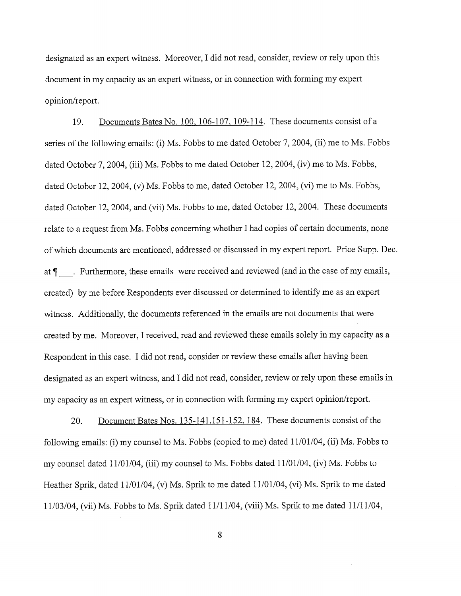designated as an expert witness. Moreover, I did not read, consider, review or rely upon this document in my capacity as an expert witness, or in connection with forming my expert opinion/report.

19. Documents Bates No. 1 00. 106- 107. 109- 114. These documents consist of a series of the following emails: (i) Ms. Fobbs to me dated October 7, 2004, (ii) me to Ms. Fobbs dated October 7, 2004, (iii) Ms. Fobbs to me dated October 12, 2004, (iv) me to Ms. Fobbs dated October 12, 2004, (v) Ms. Fobbs to me, dated October 12, 2004, (vi) me to Ms. Fobbs, dated October 12, 2004, and (vii) Ms. Fobbs to me, dated October 12, 2004. These documents relate to a request from Ms. Fobbs concerning whether I had copies of certain documents, none of which documents are mentioned, addressed or discussed in my expert report. Price Supp. Dec. at  $\P$ . Furthermore, these emails were received and reviewed (and in the case of my emails, created) by me before Respondents ever discussed or determined to identify me as an expert witness. Additionally, the documents referenced in the emails are not documents that were created by me. Moreover, I received, read and reviewed these emails solely in my capacity as a Respondent in this case. I did not read, consider or review these emails after having been designated as an expert witness, and I did not read, consider, review or rely upon these emails in my capacity as an expert witness, or in connection with fonning my expert opinion/report.

20. Document Bates Nos. 135-141, 151-152, 184. These documents consist of the following emails: (i) my counsel to Ms. Fobbs (copied to me) dated 11/01/04, (ii) Ms. Fobbs to my counsel dated 11/01/04, (iii) my counsel to Ms. Fobbs dated 11/01/04, (iv) Ms. Fobbs to Heather Sprik, dated 11/01/04, (v) Ms. Sprik to me dated 11/01/04, (vi) Ms. Sprik to me dated 11/03/04, (vii) Ms. Fobbs to Ms. Sprik dated 11/11/04, (viii) Ms. Sprik to me dated 11/11/04

8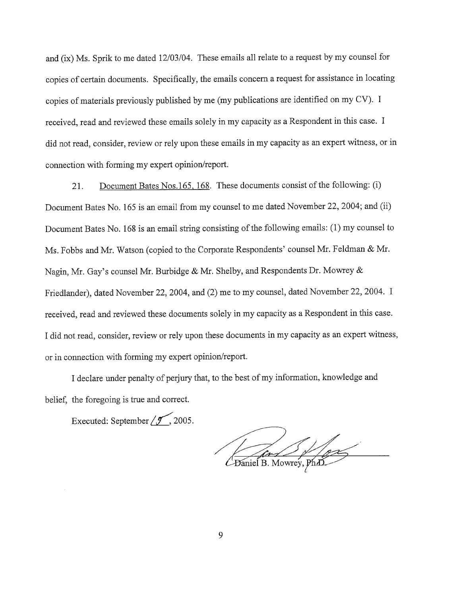and (ix) Ms. Sprik to me dated 12/03/04. These emails all relate to a request by my counsel for copies of certain documents. Specifically, the emails concern a request for assistance in locating copies of materials previously published by me (my publications are identified on my CV). received, read and reviewed these emails solely in my capacity as a Respondent in this case. did not read, consider, review or rely upon these emails in my capacity as an expert witness, or in connection with forming my expert opinion/report.

21. Document Bates Nos. 165, 168. These documents consist of the following: (i) Document Bates No. 165 is an email from my counsel to me dated November 22, 2004; and (ii) Document Bates No. 168 is an email string consisting of the following emails: (1) my counsel to Ms. Fobbs and Mr. Watson (copied to the Corporate Respondents' counsel Mr. Feldman & Mr. Nagin, Mr. Gay's counsel Mr. Burbidge & Mr. Shelby, and Respondents Dr. Mowrey & Friedlander), dated November 22, 2004, and (2) me to my counsel, dated November 22, 2004. I received, read and reviewed these documents solely in my capacity as a Respondent in this case. I did not read, consider, review or rely upon these documents in my capacity as an expert witness or in connection with forming my expert opinion/report.

I declare under penalty of perjury that, to the best of my information, knowledge and belief, the foregoing is true and correct.

Executed: September  $\sqrt{2}$ , 2005.

Daniel B. Mowrey, Ph.D.